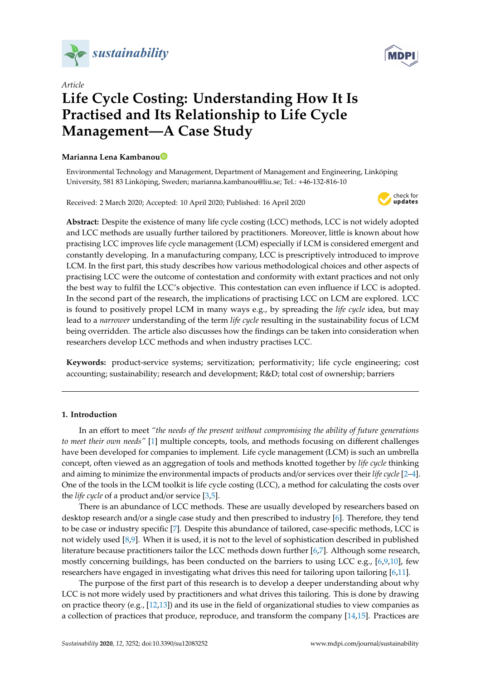



# *Article* **Life Cycle Costing: Understanding How It Is Practised and Its Relationship to Life Cycle Management—A Case Study**

# **Marianna Lena Kambano[u](https://orcid.org/0000-0001-5259-8137)**

Environmental Technology and Management, Department of Management and Engineering, Linköping University, 581 83 Linköping, Sweden; marianna.kambanou@liu.se; Tel.: +46-132-816-10

Received: 2 March 2020; Accepted: 10 April 2020; Published: 16 April 2020



**Abstract:** Despite the existence of many life cycle costing (LCC) methods, LCC is not widely adopted and LCC methods are usually further tailored by practitioners. Moreover, little is known about how practising LCC improves life cycle management (LCM) especially if LCM is considered emergent and constantly developing. In a manufacturing company, LCC is prescriptively introduced to improve LCM. In the first part, this study describes how various methodological choices and other aspects of practising LCC were the outcome of contestation and conformity with extant practices and not only the best way to fulfil the LCC's objective. This contestation can even influence if LCC is adopted. In the second part of the research, the implications of practising LCC on LCM are explored. LCC is found to positively propel LCM in many ways e.g., by spreading the *life cycle* idea, but may lead to a *narrower* understanding of the term *life cycle* resulting in the sustainability focus of LCM being overridden. The article also discusses how the findings can be taken into consideration when researchers develop LCC methods and when industry practises LCC.

**Keywords:** product-service systems; servitization; performativity; life cycle engineering; cost accounting; sustainability; research and development; R&D; total cost of ownership; barriers

# **1. Introduction**

In an effort to meet *"the needs of the present without compromising the ability of future generations to meet their own needs"* [\[1\]](#page-16-0) multiple concepts, tools, and methods focusing on different challenges have been developed for companies to implement. Life cycle management (LCM) is such an umbrella concept, often viewed as an aggregation of tools and methods knotted together by *life cycle* thinking and aiming to minimize the environmental impacts of products and/or services over their *life cycle* [\[2–](#page-16-1)[4\]](#page-16-2). One of the tools in the LCM toolkit is life cycle costing (LCC), a method for calculating the costs over the *life cycle* of a product and/or service [\[3](#page-16-3)[,5\]](#page-16-4).

There is an abundance of LCC methods. These are usually developed by researchers based on desktop research and/or a single case study and then prescribed to industry [\[6\]](#page-16-5). Therefore, they tend to be case or industry specific [\[7\]](#page-16-6). Despite this abundance of tailored, case-specific methods, LCC is not widely used [\[8](#page-16-7)[,9\]](#page-16-8). When it is used, it is not to the level of sophistication described in published literature because practitioners tailor the LCC methods down further [\[6,](#page-16-5)[7\]](#page-16-6). Although some research, mostly concerning buildings, has been conducted on the barriers to using LCC e.g., [\[6](#page-16-5)[,9](#page-16-8)[,10\]](#page-16-9), few researchers have engaged in investigating what drives this need for tailoring upon tailoring [\[6,](#page-16-5)[11\]](#page-16-10).

The purpose of the first part of this research is to develop a deeper understanding about why LCC is not more widely used by practitioners and what drives this tailoring. This is done by drawing on practice theory (e.g., [\[12,](#page-16-11)[13\]](#page-17-0)) and its use in the field of organizational studies to view companies as a collection of practices that produce, reproduce, and transform the company [\[14,](#page-17-1)[15\]](#page-17-2). Practices are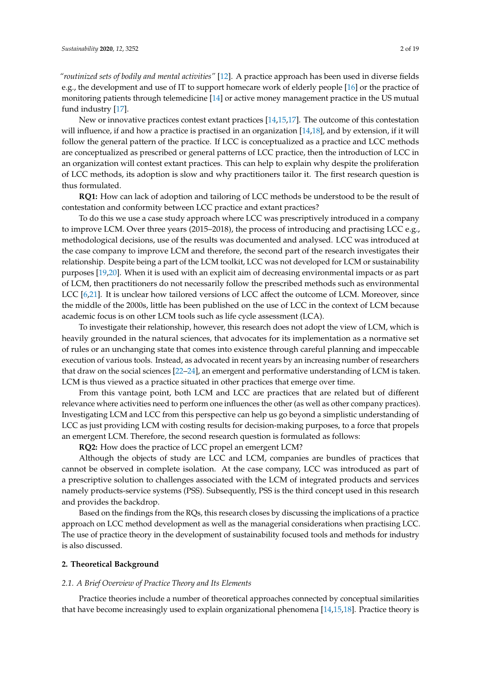*"routinized sets of bodily and mental activities"* [\[12\]](#page-16-11). A practice approach has been used in diverse fields e.g., the development and use of IT to support homecare work of elderly people [\[16\]](#page-17-3) or the practice of monitoring patients through telemedicine [\[14\]](#page-17-1) or active money management practice in the US mutual fund industry [\[17\]](#page-17-4).

New or innovative practices contest extant practices [\[14](#page-17-1)[,15,](#page-17-2)[17\]](#page-17-4). The outcome of this contestation will influence, if and how a practice is practised in an organization [\[14](#page-17-1)[,18\]](#page-17-5), and by extension, if it will follow the general pattern of the practice. If LCC is conceptualized as a practice and LCC methods are conceptualized as prescribed or general patterns of LCC practice, then the introduction of LCC in an organization will contest extant practices. This can help to explain why despite the proliferation of LCC methods, its adoption is slow and why practitioners tailor it. The first research question is thus formulated.

**RQ1:** How can lack of adoption and tailoring of LCC methods be understood to be the result of contestation and conformity between LCC practice and extant practices?

To do this we use a case study approach where LCC was prescriptively introduced in a company to improve LCM. Over three years (2015–2018), the process of introducing and practising LCC e.g., methodological decisions, use of the results was documented and analysed. LCC was introduced at the case company to improve LCM and therefore, the second part of the research investigates their relationship. Despite being a part of the LCM toolkit, LCC was not developed for LCM or sustainability purposes [\[19,](#page-17-6)[20\]](#page-17-7). When it is used with an explicit aim of decreasing environmental impacts or as part of LCM, then practitioners do not necessarily follow the prescribed methods such as environmental LCC [\[6](#page-16-5)[,21\]](#page-17-8). It is unclear how tailored versions of LCC affect the outcome of LCM. Moreover, since the middle of the 2000s, little has been published on the use of LCC in the context of LCM because academic focus is on other LCM tools such as life cycle assessment (LCA).

To investigate their relationship, however, this research does not adopt the view of LCM, which is heavily grounded in the natural sciences, that advocates for its implementation as a normative set of rules or an unchanging state that comes into existence through careful planning and impeccable execution of various tools. Instead, as advocated in recent years by an increasing number of researchers that draw on the social sciences [\[22](#page-17-9)[–24\]](#page-17-10), an emergent and performative understanding of LCM is taken. LCM is thus viewed as a practice situated in other practices that emerge over time.

From this vantage point, both LCM and LCC are practices that are related but of different relevance where activities need to perform one influences the other (as well as other company practices). Investigating LCM and LCC from this perspective can help us go beyond a simplistic understanding of LCC as just providing LCM with costing results for decision-making purposes, to a force that propels an emergent LCM. Therefore, the second research question is formulated as follows:

**RQ2:** How does the practice of LCC propel an emergent LCM?

Although the objects of study are LCC and LCM, companies are bundles of practices that cannot be observed in complete isolation. At the case company, LCC was introduced as part of a prescriptive solution to challenges associated with the LCM of integrated products and services namely products-service systems (PSS). Subsequently, PSS is the third concept used in this research and provides the backdrop.

Based on the findings from the RQs, this research closes by discussing the implications of a practice approach on LCC method development as well as the managerial considerations when practising LCC. The use of practice theory in the development of sustainability focused tools and methods for industry is also discussed.

#### **2. Theoretical Background**

## *2.1. A Brief Overview of Practice Theory and Its Elements*

Practice theories include a number of theoretical approaches connected by conceptual similarities that have become increasingly used to explain organizational phenomena [\[14](#page-17-1)[,15](#page-17-2)[,18\]](#page-17-5). Practice theory is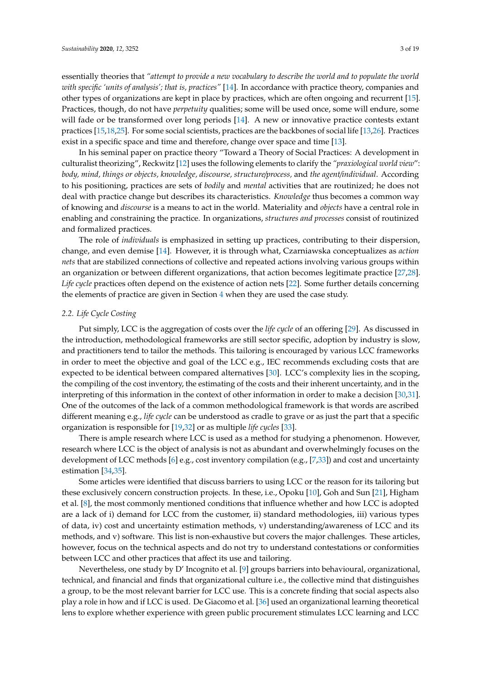essentially theories that *"attempt to provide a new vocabulary to describe the world and to populate the world with specific 'units of analysis'; that is, practices"* [\[14\]](#page-17-1). In accordance with practice theory, companies and other types of organizations are kept in place by practices, which are often ongoing and recurrent [\[15\]](#page-17-2). Practices, though, do not have *perpetuity* qualities; some will be used once, some will endure, some will fade or be transformed over long periods [\[14\]](#page-17-1). A new or innovative practice contests extant practices [\[15,](#page-17-2)[18](#page-17-5)[,25\]](#page-17-11). For some social scientists, practices are the backbones of social life [\[13,](#page-17-0)[26\]](#page-17-12). Practices exist in a specific space and time and therefore, change over space and time [\[13\]](#page-17-0).

In his seminal paper on practice theory "Toward a Theory of Social Practices: A development in culturalist theorizing", Reckwitz [\[12\]](#page-16-11) uses the following elements to clarify the *"praxiological world view*": *body, mind, things or objects, knowledge, discourse, structure*/*process,* and *the agent*/*individual*. According to his positioning, practices are sets of *bodily* and *mental* activities that are routinized; he does not deal with practice change but describes its characteristics. *Knowledge* thus becomes a common way of knowing and *discourse* is a means to act in the world. Materiality and *objects* have a central role in enabling and constraining the practice. In organizations, *structures and processes* consist of routinized and formalized practices.

The role of *individuals* is emphasized in setting up practices, contributing to their dispersion, change, and even demise [\[14\]](#page-17-1). However, it is through what, Czarniawska conceptualizes as *action nets* that are stabilized connections of collective and repeated actions involving various groups within an organization or between different organizations, that action becomes legitimate practice [\[27,](#page-17-13)[28\]](#page-17-14). *Life cycle* practices often depend on the existence of action nets [\[22\]](#page-17-9). Some further details concerning the elements of practice are given in Section [4](#page-6-0) when they are used the case study.

# *2.2. Life Cycle Costing*

Put simply, LCC is the aggregation of costs over the *life cycle* of an offering [\[29\]](#page-17-15). As discussed in the introduction, methodological frameworks are still sector specific, adoption by industry is slow, and practitioners tend to tailor the methods. This tailoring is encouraged by various LCC frameworks in order to meet the objective and goal of the LCC e.g., IEC recommends excluding costs that are expected to be identical between compared alternatives [\[30\]](#page-17-16). LCC's complexity lies in the scoping, the compiling of the cost inventory, the estimating of the costs and their inherent uncertainty, and in the interpreting of this information in the context of other information in order to make a decision [\[30](#page-17-16)[,31\]](#page-17-17). One of the outcomes of the lack of a common methodological framework is that words are ascribed different meaning e.g., *life cycle* can be understood as cradle to grave or as just the part that a specific organization is responsible for [\[19,](#page-17-6)[32\]](#page-17-18) or as multiple *life cycles* [\[33\]](#page-17-19).

There is ample research where LCC is used as a method for studying a phenomenon. However, research where LCC is the object of analysis is not as abundant and overwhelmingly focuses on the development of LCC methods [\[6\]](#page-16-5) e.g., cost inventory compilation (e.g., [\[7](#page-16-6)[,33\]](#page-17-19)) and cost and uncertainty estimation [\[34,](#page-17-20)[35\]](#page-17-21).

Some articles were identified that discuss barriers to using LCC or the reason for its tailoring but these exclusively concern construction projects. In these, i.e., Opoku [\[10\]](#page-16-9), Goh and Sun [\[21\]](#page-17-8), Higham et al. [\[8\]](#page-16-7), the most commonly mentioned conditions that influence whether and how LCC is adopted are a lack of i) demand for LCC from the customer, ii) standard methodologies, iii) various types of data, iv) cost and uncertainty estimation methods, v) understanding/awareness of LCC and its methods, and v) software. This list is non-exhaustive but covers the major challenges. These articles, however, focus on the technical aspects and do not try to understand contestations or conformities between LCC and other practices that affect its use and tailoring.

Nevertheless, one study by D' Incognito et al. [\[9\]](#page-16-8) groups barriers into behavioural, organizational, technical, and financial and finds that organizational culture i.e., the collective mind that distinguishes a group, to be the most relevant barrier for LCC use. This is a concrete finding that social aspects also play a role in how and if LCC is used. De Giacomo et al. [\[36\]](#page-17-22) used an organizational learning theoretical lens to explore whether experience with green public procurement stimulates LCC learning and LCC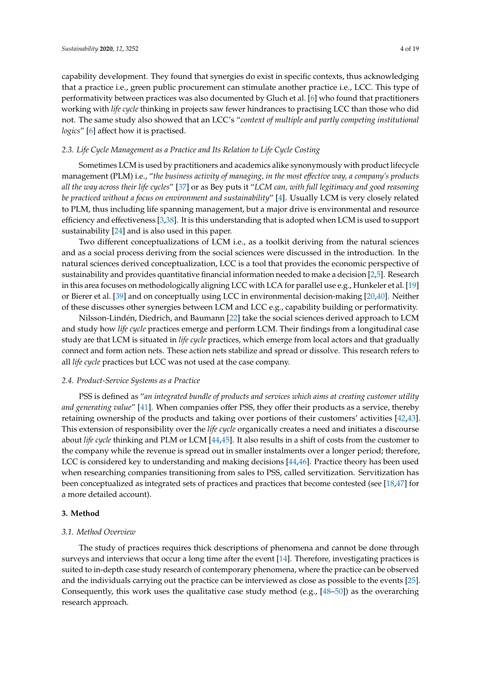capability development. They found that synergies do exist in specific contexts, thus acknowledging that a practice i.e., green public procurement can stimulate another practice i.e., LCC. This type of performativity between practices was also documented by Gluch et al. [\[6\]](#page-16-5) who found that practitioners working with *life cycle* thinking in projects saw fewer hindrances to practising LCC than those who did not. The same study also showed that an LCC's "*context of multiple and partly competing institutional logics*" [\[6\]](#page-16-5) affect how it is practised.

# <span id="page-3-0"></span>*2.3. Life Cycle Management as a Practice and Its Relation to Life Cycle Costing*

Sometimes LCM is used by practitioners and academics alike synonymously with product lifecycle management (PLM) i.e., "the business activity of managing, in the most effective way, a company's products *all the way across their life cycles*" [\[37\]](#page-17-23) or as Bey puts it "*LCM can, with full legitimacy and good reasoning be practiced without a focus on environment and sustainability*" [\[4\]](#page-16-2). Usually LCM is very closely related to PLM, thus including life spanning management, but a major drive is environmental and resource efficiency and effectiveness [\[3](#page-16-3)[,38\]](#page-17-24). It is this understanding that is adopted when LCM is used to support sustainability [\[24\]](#page-17-10) and is also used in this paper.

Two different conceptualizations of LCM i.e., as a toolkit deriving from the natural sciences and as a social process deriving from the social sciences were discussed in the introduction. In the natural sciences derived conceptualization, LCC is a tool that provides the economic perspective of sustainability and provides quantitative financial information needed to make a decision [\[2](#page-16-1)[,5\]](#page-16-4). Research in this area focuses on methodologically aligning LCC with LCA for parallel use e.g., Hunkeler et al. [\[19\]](#page-17-6) or Bierer et al. [\[39\]](#page-18-0) and on conceptually using LCC in environmental decision-making [\[20,](#page-17-7)[40\]](#page-18-1). Neither of these discusses other synergies between LCM and LCC e.g., capability building or performativity.

Nilsson-Lindén, Diedrich, and Baumann [\[22\]](#page-17-9) take the social sciences derived approach to LCM and study how *life cycle* practices emerge and perform LCM. Their findings from a longitudinal case study are that LCM is situated in *life cycle* practices, which emerge from local actors and that gradually connect and form action nets. These action nets stabilize and spread or dissolve. This research refers to all *life cycle* practices but LCC was not used at the case company.

#### *2.4. Product-Service Systems as a Practice*

PSS is defined as "*an integrated bundle of products and services which aims at creating customer utility and generating value*" [\[41\]](#page-18-2). When companies offer PSS, they offer their products as a service, thereby retaining ownership of the products and taking over portions of their customers' activities [\[42,](#page-18-3)[43\]](#page-18-4). This extension of responsibility over the *life cycle* organically creates a need and initiates a discourse about *life cycle* thinking and PLM or LCM [\[44](#page-18-5)[,45\]](#page-18-6). It also results in a shift of costs from the customer to the company while the revenue is spread out in smaller instalments over a longer period; therefore, LCC is considered key to understanding and making decisions [\[44](#page-18-5)[,46\]](#page-18-7). Practice theory has been used when researching companies transitioning from sales to PSS, called servitization. Servitization has been conceptualized as integrated sets of practices and practices that become contested (see [\[18](#page-17-5)[,47\]](#page-18-8) for a more detailed account).

# **3. Method**

#### *3.1. Method Overview*

The study of practices requires thick descriptions of phenomena and cannot be done through surveys and interviews that occur a long time after the event [\[14\]](#page-17-1). Therefore, investigating practices is suited to in-depth case study research of contemporary phenomena, where the practice can be observed and the individuals carrying out the practice can be interviewed as close as possible to the events [\[25\]](#page-17-11). Consequently, this work uses the qualitative case study method (e.g., [\[48–](#page-18-9)[50\]](#page-18-10)) as the overarching research approach.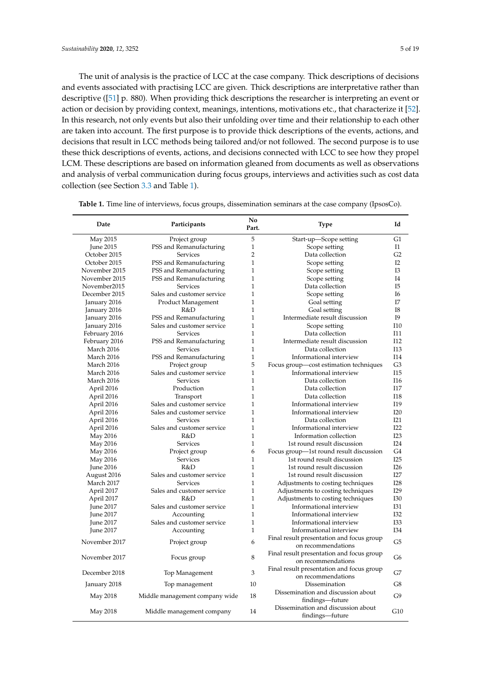The unit of analysis is the practice of LCC at the case company. Thick descriptions of decisions and events associated with practising LCC are given. Thick descriptions are interpretative rather than descriptive ([\[51\]](#page-18-11) p. 880). When providing thick descriptions the researcher is interpreting an event or action or decision by providing context, meanings, intentions, motivations etc., that characterize it [\[52\]](#page-18-12). In this research, not only events but also their unfolding over time and their relationship to each other are taken into account. The first purpose is to provide thick descriptions of the events, actions, and decisions that result in LCC methods being tailored and/or not followed. The second purpose is to use these thick descriptions of events, actions, and decisions connected with LCC to see how they propel LCM. These descriptions are based on information gleaned from documents as well as observations and analysis of verbal communication during focus groups, interviews and activities such as cost data collection (see Section [3.3](#page-6-1) and Table [1\)](#page-4-0).

| Date             | Participants                   | No<br>Part.    | <b>Type</b>                                                     | Id             |
|------------------|--------------------------------|----------------|-----------------------------------------------------------------|----------------|
| May 2015         | Project group                  | 5              | Start-up-Scope setting                                          | G1             |
| June 2015        | PSS and Remanufacturing        | $\mathbf{1}$   | Scope setting                                                   | I1             |
| October 2015     | <b>Services</b>                | $\overline{2}$ | Data collection                                                 | G2             |
| October 2015     | PSS and Remanufacturing        | $\mathbf{1}$   | Scope setting                                                   | I2             |
| November 2015    | PSS and Remanufacturing        | $\mathbf{1}$   | Scope setting                                                   | I3             |
| November 2015    | PSS and Remanufacturing        | $\mathbf{1}$   | Scope setting                                                   | I4             |
| November2015     | <b>Services</b>                | $\mathbf{1}$   | Data collection                                                 | I5             |
| December 2015    | Sales and customer service     | $\mathbf{1}$   | Scope setting                                                   | I <sub>6</sub> |
| January 2016     | Product Management             | $\mathbf{1}$   | Goal setting                                                    | I7             |
| January 2016     | R&D                            | $\mathbf{1}$   | Goal setting                                                    | I8             |
| January 2016     | PSS and Remanufacturing        | $\mathbf{1}$   | Intermediate result discussion                                  | I9             |
| January 2016     | Sales and customer service     | $\mathbf{1}$   | Scope setting                                                   | I10            |
| February 2016    | Services                       | $\mathbf{1}$   | Data collection                                                 | I11            |
| February 2016    | PSS and Remanufacturing        | $\mathbf{1}$   | Intermediate result discussion                                  | I12            |
| March 2016       | Services                       | $\mathbf{1}$   | Data collection                                                 | <b>I13</b>     |
| March 2016       | PSS and Remanufacturing        | $\mathbf{1}$   | Informational interview                                         | <b>I14</b>     |
| March 2016       | Project group                  | 5              | Focus group-cost estimation techniques                          | G3             |
| March 2016       | Sales and customer service     | $\mathbf{1}$   | Informational interview                                         | <b>I15</b>     |
| March 2016       | <b>Services</b>                | $\mathbf{1}$   | Data collection                                                 | I16            |
| April 2016       | Production                     | $\mathbf{1}$   | Data collection                                                 | I17            |
| April 2016       | Transport                      | $\mathbf{1}$   | Data collection                                                 | I18            |
| April 2016       | Sales and customer service     | $\mathbf{1}$   | Informational interview                                         | I19            |
| April 2016       | Sales and customer service     | $\mathbf{1}$   | Informational interview                                         | I20            |
| April 2016       | <b>Services</b>                | $\mathbf{1}$   | Data collection                                                 | I21            |
| April 2016       | Sales and customer service     | $\mathbf{1}$   | Informational interview                                         | I22            |
| May 2016         | R&D                            | $\mathbf{1}$   | Information collection                                          | I23            |
| May 2016         | Services                       | $\mathbf{1}$   | 1st round result discussion                                     | <b>I24</b>     |
| May 2016         | Project group                  | 6              | Focus group—1st round result discussion                         | G4             |
| May 2016         | Services                       | $\mathbf{1}$   | 1st round result discussion                                     | I25            |
| June 2016        | R&D                            | $\mathbf{1}$   | 1st round result discussion                                     | I26            |
| August 2016      | Sales and customer service     | $\mathbf{1}$   | 1st round result discussion                                     | I27            |
| March 2017       | Services                       | $\mathbf{1}$   | Adjustments to costing techniques                               | <b>I28</b>     |
| April 2017       | Sales and customer service     | $\mathbf{1}$   | Adjustments to costing techniques                               | I29            |
| April 2017       | R&D                            | $\mathbf{1}$   | Adjustments to costing techniques                               | <b>I30</b>     |
| June 2017        | Sales and customer service     | $\mathbf{1}$   | Informational interview                                         | I31            |
| <b>June 2017</b> | Accounting                     | $\mathbf{1}$   | Informational interview                                         | <b>I32</b>     |
| June 2017        | Sales and customer service     | $\mathbf{1}$   | Informational interview                                         | <b>I33</b>     |
| <b>June 2017</b> | Accounting                     | $\mathbf{1}$   | Informational interview                                         | <b>I34</b>     |
| November 2017    | Project group                  | 6              | Final result presentation and focus group<br>on recommendations | G5             |
| November 2017    | Focus group                    | 8              | Final result presentation and focus group<br>on recommendations | G6             |
| December 2018    | Top Management                 | 3              | Final result presentation and focus group<br>on recommendations | G7             |
| January 2018     | Top management                 | 10             | Dissemination                                                   | G8             |
| May 2018         | Middle management company wide | 18             | Dissemination and discussion about<br>findings-future           | G9             |
| May 2018         | Middle management company      | 14             | Dissemination and discussion about<br>findings—future           | G10            |

<span id="page-4-0"></span>**Table 1.** Time line of interviews, focus groups, dissemination seminars at the case company (IpsosCo).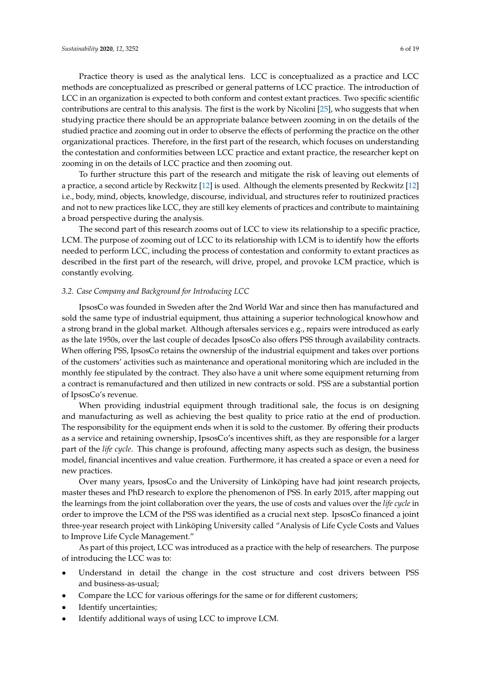Practice theory is used as the analytical lens. LCC is conceptualized as a practice and LCC methods are conceptualized as prescribed or general patterns of LCC practice. The introduction of LCC in an organization is expected to both conform and contest extant practices. Two specific scientific contributions are central to this analysis. The first is the work by Nicolini [\[25\]](#page-17-11), who suggests that when studying practice there should be an appropriate balance between zooming in on the details of the studied practice and zooming out in order to observe the effects of performing the practice on the other organizational practices. Therefore, in the first part of the research, which focuses on understanding the contestation and conformities between LCC practice and extant practice, the researcher kept on zooming in on the details of LCC practice and then zooming out.

To further structure this part of the research and mitigate the risk of leaving out elements of a practice, a second article by Reckwitz [\[12\]](#page-16-11) is used. Although the elements presented by Reckwitz [\[12\]](#page-16-11) i.e., body, mind, objects, knowledge, discourse, individual, and structures refer to routinized practices and not to new practices like LCC, they are still key elements of practices and contribute to maintaining a broad perspective during the analysis.

The second part of this research zooms out of LCC to view its relationship to a specific practice, LCM. The purpose of zooming out of LCC to its relationship with LCM is to identify how the efforts needed to perform LCC, including the process of contestation and conformity to extant practices as described in the first part of the research, will drive, propel, and provoke LCM practice, which is constantly evolving.

#### *3.2. Case Company and Background for Introducing LCC*

IpsosCo was founded in Sweden after the 2nd World War and since then has manufactured and sold the same type of industrial equipment, thus attaining a superior technological knowhow and a strong brand in the global market. Although aftersales services e.g., repairs were introduced as early as the late 1950s, over the last couple of decades IpsosCo also offers PSS through availability contracts. When offering PSS, IpsosCo retains the ownership of the industrial equipment and takes over portions of the customers' activities such as maintenance and operational monitoring which are included in the monthly fee stipulated by the contract. They also have a unit where some equipment returning from a contract is remanufactured and then utilized in new contracts or sold. PSS are a substantial portion of IpsosCo's revenue.

When providing industrial equipment through traditional sale, the focus is on designing and manufacturing as well as achieving the best quality to price ratio at the end of production. The responsibility for the equipment ends when it is sold to the customer. By offering their products as a service and retaining ownership, IpsosCo's incentives shift, as they are responsible for a larger part of the *life cycle*. This change is profound, affecting many aspects such as design, the business model, financial incentives and value creation. Furthermore, it has created a space or even a need for new practices.

Over many years, IpsosCo and the University of Linköping have had joint research projects, master theses and PhD research to explore the phenomenon of PSS. In early 2015, after mapping out the learnings from the joint collaboration over the years, the use of costs and values over the *life cycle* in order to improve the LCM of the PSS was identified as a crucial next step. IpsosCo financed a joint three-year research project with Linköping University called "Analysis of Life Cycle Costs and Values to Improve Life Cycle Management."

As part of this project, LCC was introduced as a practice with the help of researchers. The purpose of introducing the LCC was to:

- Understand in detail the change in the cost structure and cost drivers between PSS and business-as-usual;
- Compare the LCC for various offerings for the same or for different customers;
- Identify uncertainties;
- Identify additional ways of using LCC to improve LCM.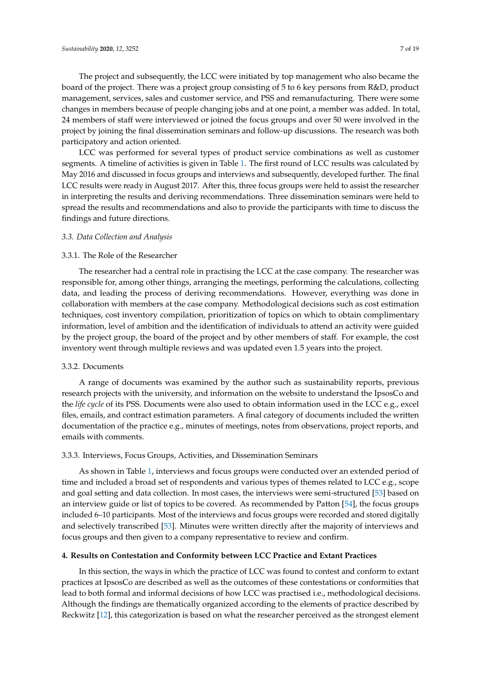The project and subsequently, the LCC were initiated by top management who also became the board of the project. There was a project group consisting of 5 to 6 key persons from R&D, product management, services, sales and customer service, and PSS and remanufacturing. There were some changes in members because of people changing jobs and at one point, a member was added. In total, 24 members of staff were interviewed or joined the focus groups and over 50 were involved in the project by joining the final dissemination seminars and follow-up discussions. The research was both participatory and action oriented.

LCC was performed for several types of product service combinations as well as customer segments. A timeline of activities is given in Table [1.](#page-4-0) The first round of LCC results was calculated by May 2016 and discussed in focus groups and interviews and subsequently, developed further. The final LCC results were ready in August 2017. After this, three focus groups were held to assist the researcher in interpreting the results and deriving recommendations. Three dissemination seminars were held to spread the results and recommendations and also to provide the participants with time to discuss the findings and future directions.

#### <span id="page-6-1"></span>*3.3. Data Collection and Analysis*

# 3.3.1. The Role of the Researcher

The researcher had a central role in practising the LCC at the case company. The researcher was responsible for, among other things, arranging the meetings, performing the calculations, collecting data, and leading the process of deriving recommendations. However, everything was done in collaboration with members at the case company. Methodological decisions such as cost estimation techniques, cost inventory compilation, prioritization of topics on which to obtain complimentary information, level of ambition and the identification of individuals to attend an activity were guided by the project group, the board of the project and by other members of staff. For example, the cost inventory went through multiple reviews and was updated even 1.5 years into the project.

#### 3.3.2. Documents

A range of documents was examined by the author such as sustainability reports, previous research projects with the university, and information on the website to understand the IpsosCo and the *life cycle* of its PSS. Documents were also used to obtain information used in the LCC e.g., excel files, emails, and contract estimation parameters. A final category of documents included the written documentation of the practice e.g., minutes of meetings, notes from observations, project reports, and emails with comments.

# 3.3.3. Interviews, Focus Groups, Activities, and Dissemination Seminars

As shown in Table [1,](#page-4-0) interviews and focus groups were conducted over an extended period of time and included a broad set of respondents and various types of themes related to LCC e.g., scope and goal setting and data collection. In most cases, the interviews were semi-structured [\[53\]](#page-18-13) based on an interview guide or list of topics to be covered. As recommended by Patton [\[54\]](#page-18-14), the focus groups included 6–10 participants. Most of the interviews and focus groups were recorded and stored digitally and selectively transcribed [\[53\]](#page-18-13). Minutes were written directly after the majority of interviews and focus groups and then given to a company representative to review and confirm.

# <span id="page-6-0"></span>**4. Results on Contestation and Conformity between LCC Practice and Extant Practices**

In this section, the ways in which the practice of LCC was found to contest and conform to extant practices at IpsosCo are described as well as the outcomes of these contestations or conformities that lead to both formal and informal decisions of how LCC was practised i.e., methodological decisions. Although the findings are thematically organized according to the elements of practice described by Reckwitz [\[12\]](#page-16-11), this categorization is based on what the researcher perceived as the strongest element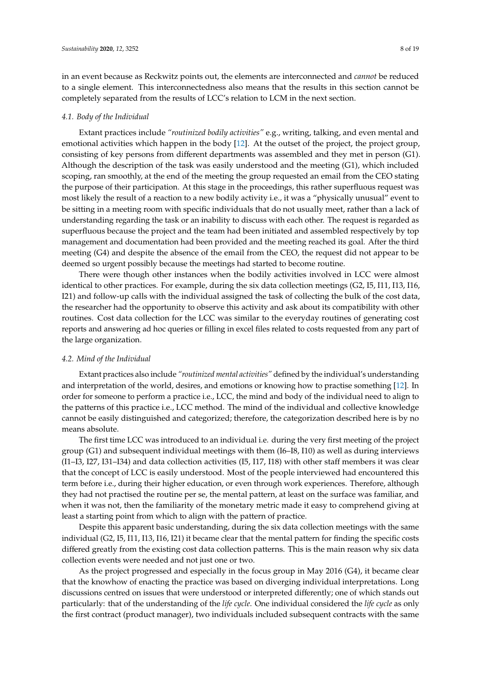in an event because as Reckwitz points out, the elements are interconnected and *cannot* be reduced to a single element. This interconnectedness also means that the results in this section cannot be completely separated from the results of LCC's relation to LCM in the next section.

#### <span id="page-7-0"></span>*4.1. Body of the Individual*

Extant practices include *"routinized bodily activities"* e.g., writing, talking, and even mental and emotional activities which happen in the body [\[12\]](#page-16-11). At the outset of the project, the project group, consisting of key persons from different departments was assembled and they met in person (G1). Although the description of the task was easily understood and the meeting (G1), which included scoping, ran smoothly, at the end of the meeting the group requested an email from the CEO stating the purpose of their participation. At this stage in the proceedings, this rather superfluous request was most likely the result of a reaction to a new bodily activity i.e., it was a "physically unusual" event to be sitting in a meeting room with specific individuals that do not usually meet, rather than a lack of understanding regarding the task or an inability to discuss with each other. The request is regarded as superfluous because the project and the team had been initiated and assembled respectively by top management and documentation had been provided and the meeting reached its goal. After the third meeting (G4) and despite the absence of the email from the CEO, the request did not appear to be deemed so urgent possibly because the meetings had started to become routine.

There were though other instances when the bodily activities involved in LCC were almost identical to other practices. For example, during the six data collection meetings (G2, I5, I11, I13, I16, I21) and follow-up calls with the individual assigned the task of collecting the bulk of the cost data, the researcher had the opportunity to observe this activity and ask about its compatibility with other routines. Cost data collection for the LCC was similar to the everyday routines of generating cost reports and answering ad hoc queries or filling in excel files related to costs requested from any part of the large organization.

#### <span id="page-7-1"></span>*4.2. Mind of the Individual*

Extant practices also include *"routinized mental activities"* defined by the individual's understanding and interpretation of the world, desires, and emotions or knowing how to practise something [\[12\]](#page-16-11). In order for someone to perform a practice i.e., LCC, the mind and body of the individual need to align to the patterns of this practice i.e., LCC method. The mind of the individual and collective knowledge cannot be easily distinguished and categorized; therefore, the categorization described here is by no means absolute.

The first time LCC was introduced to an individual i.e. during the very first meeting of the project group (G1) and subsequent individual meetings with them (I6–I8, I10) as well as during interviews (I1–I3, I27, I31–I34) and data collection activities (I5, I17, I18) with other staff members it was clear that the concept of LCC is easily understood. Most of the people interviewed had encountered this term before i.e., during their higher education, or even through work experiences. Therefore, although they had not practised the routine per se, the mental pattern, at least on the surface was familiar, and when it was not, then the familiarity of the monetary metric made it easy to comprehend giving at least a starting point from which to align with the pattern of practice.

Despite this apparent basic understanding, during the six data collection meetings with the same individual (G2, I5, I11, I13, I16, I21) it became clear that the mental pattern for finding the specific costs differed greatly from the existing cost data collection patterns. This is the main reason why six data collection events were needed and not just one or two.

As the project progressed and especially in the focus group in May 2016 (G4), it became clear that the knowhow of enacting the practice was based on diverging individual interpretations. Long discussions centred on issues that were understood or interpreted differently; one of which stands out particularly: that of the understanding of the *life cycle*. One individual considered the *life cycle* as only the first contract (product manager), two individuals included subsequent contracts with the same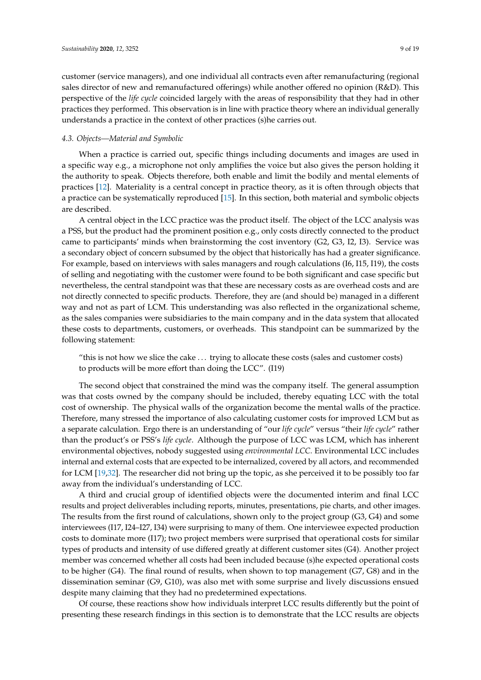customer (service managers), and one individual all contracts even after remanufacturing (regional sales director of new and remanufactured offerings) while another offered no opinion (R&D). This perspective of the *life cycle* coincided largely with the areas of responsibility that they had in other practices they performed. This observation is in line with practice theory where an individual generally understands a practice in the context of other practices (s)he carries out.

#### <span id="page-8-0"></span>*4.3. Objects—Material and Symbolic*

When a practice is carried out, specific things including documents and images are used in a specific way e.g., a microphone not only amplifies the voice but also gives the person holding it the authority to speak. Objects therefore, both enable and limit the bodily and mental elements of practices [\[12\]](#page-16-11). Materiality is a central concept in practice theory, as it is often through objects that a practice can be systematically reproduced [\[15\]](#page-17-2). In this section, both material and symbolic objects are described.

A central object in the LCC practice was the product itself. The object of the LCC analysis was a PSS, but the product had the prominent position e.g., only costs directly connected to the product came to participants' minds when brainstorming the cost inventory (G2, G3, I2, I3). Service was a secondary object of concern subsumed by the object that historically has had a greater significance. For example, based on interviews with sales managers and rough calculations (I6, I15, I19), the costs of selling and negotiating with the customer were found to be both significant and case specific but nevertheless, the central standpoint was that these are necessary costs as are overhead costs and are not directly connected to specific products. Therefore, they are (and should be) managed in a different way and not as part of LCM. This understanding was also reflected in the organizational scheme, as the sales companies were subsidiaries to the main company and in the data system that allocated these costs to departments, customers, or overheads. This standpoint can be summarized by the following statement:

"this is not how we slice the cake . . . trying to allocate these costs (sales and customer costs) to products will be more effort than doing the LCC". (I19)

The second object that constrained the mind was the company itself. The general assumption was that costs owned by the company should be included, thereby equating LCC with the total cost of ownership. The physical walls of the organization become the mental walls of the practice. Therefore, many stressed the importance of also calculating customer costs for improved LCM but as a separate calculation. Ergo there is an understanding of "our *life cycle*" versus "their *life cycle*" rather than the product's or PSS's *life cycle*. Although the purpose of LCC was LCM, which has inherent environmental objectives, nobody suggested using *environmental LCC.* Environmental LCC includes internal and external costs that are expected to be internalized, covered by all actors, and recommended for LCM [\[19](#page-17-6)[,32\]](#page-17-18). The researcher did not bring up the topic, as she perceived it to be possibly too far away from the individual's understanding of LCC.

A third and crucial group of identified objects were the documented interim and final LCC results and project deliverables including reports, minutes, presentations, pie charts, and other images. The results from the first round of calculations, shown only to the project group (G3, G4) and some interviewees (I17, I24–I27, I34) were surprising to many of them. One interviewee expected production costs to dominate more (I17); two project members were surprised that operational costs for similar types of products and intensity of use differed greatly at different customer sites (G4). Another project member was concerned whether all costs had been included because (s)he expected operational costs to be higher (G4). The final round of results, when shown to top management (G7, G8) and in the dissemination seminar (G9, G10), was also met with some surprise and lively discussions ensued despite many claiming that they had no predetermined expectations.

Of course, these reactions show how individuals interpret LCC results differently but the point of presenting these research findings in this section is to demonstrate that the LCC results are objects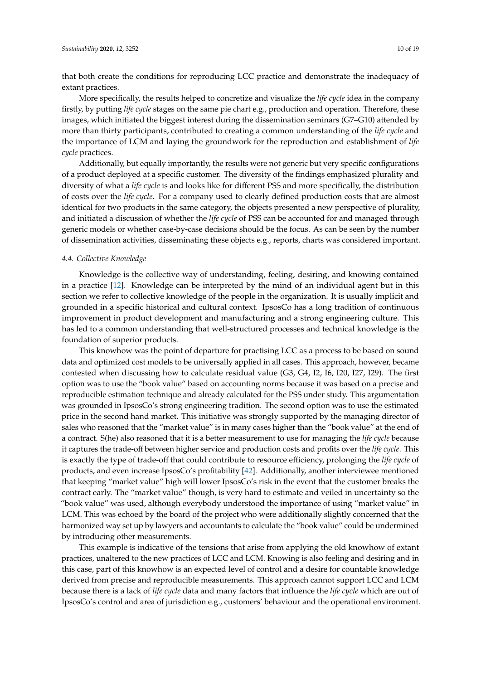that both create the conditions for reproducing LCC practice and demonstrate the inadequacy of extant practices.

More specifically, the results helped to concretize and visualize the *life cycle* idea in the company firstly, by putting *life cycle* stages on the same pie chart e.g., production and operation. Therefore, these images, which initiated the biggest interest during the dissemination seminars (G7–G10) attended by more than thirty participants, contributed to creating a common understanding of the *life cycle* and the importance of LCM and laying the groundwork for the reproduction and establishment of *life cycle* practices.

Additionally, but equally importantly, the results were not generic but very specific configurations of a product deployed at a specific customer. The diversity of the findings emphasized plurality and diversity of what a *life cycle* is and looks like for different PSS and more specifically, the distribution of costs over the *life cycle*. For a company used to clearly defined production costs that are almost identical for two products in the same category, the objects presented a new perspective of plurality, and initiated a discussion of whether the *life cycle* of PSS can be accounted for and managed through generic models or whether case-by-case decisions should be the focus. As can be seen by the number of dissemination activities, disseminating these objects e.g., reports, charts was considered important.

## <span id="page-9-0"></span>*4.4. Collective Knowledge*

Knowledge is the collective way of understanding, feeling, desiring, and knowing contained in a practice [\[12\]](#page-16-11). Knowledge can be interpreted by the mind of an individual agent but in this section we refer to collective knowledge of the people in the organization. It is usually implicit and grounded in a specific historical and cultural context. IpsosCo has a long tradition of continuous improvement in product development and manufacturing and a strong engineering culture. This has led to a common understanding that well-structured processes and technical knowledge is the foundation of superior products.

This knowhow was the point of departure for practising LCC as a process to be based on sound data and optimized cost models to be universally applied in all cases. This approach, however, became contested when discussing how to calculate residual value (G3, G4, I2, I6, I20, I27, I29). The first option was to use the "book value" based on accounting norms because it was based on a precise and reproducible estimation technique and already calculated for the PSS under study. This argumentation was grounded in IpsosCo's strong engineering tradition. The second option was to use the estimated price in the second hand market. This initiative was strongly supported by the managing director of sales who reasoned that the "market value" is in many cases higher than the "book value" at the end of a contract. S(he) also reasoned that it is a better measurement to use for managing the *life cycle* because it captures the trade-off between higher service and production costs and profits over the *life cycle*. This is exactly the type of trade-off that could contribute to resource efficiency, prolonging the *life cycle* of products, and even increase IpsosCo's profitability [\[42\]](#page-18-3). Additionally, another interviewee mentioned that keeping "market value" high will lower IpsosCo's risk in the event that the customer breaks the contract early. The "market value" though, is very hard to estimate and veiled in uncertainty so the "book value" was used, although everybody understood the importance of using "market value" in LCM. This was echoed by the board of the project who were additionally slightly concerned that the harmonized way set up by lawyers and accountants to calculate the "book value" could be undermined by introducing other measurements.

This example is indicative of the tensions that arise from applying the old knowhow of extant practices, unaltered to the new practices of LCC and LCM. Knowing is also feeling and desiring and in this case, part of this knowhow is an expected level of control and a desire for countable knowledge derived from precise and reproducible measurements. This approach cannot support LCC and LCM because there is a lack of *life cycle* data and many factors that influence the *life cycle* which are out of IpsosCo's control and area of jurisdiction e.g., customers' behaviour and the operational environment.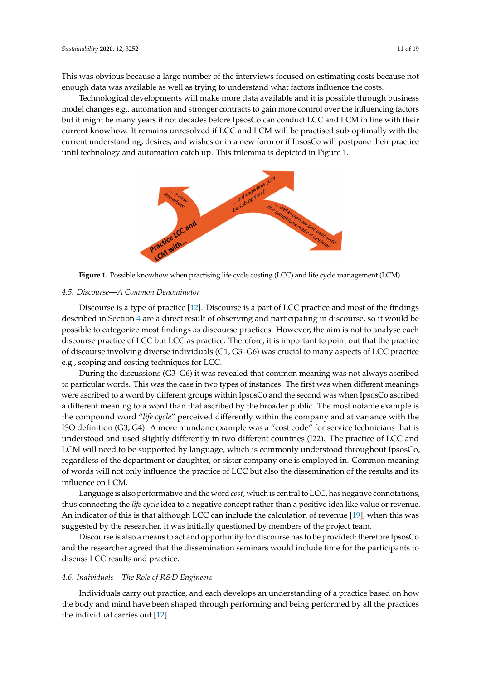This was obvious because a large number of the interviews focused on estimating costs because not enough data was available as well as trying to understand what factors influence the costs.

Technological developments will make more data available and it is possible through business 443 Technological developments will make more data available and it is possible through business model changes e.g., automation and stronger contracts to gain more control over the influencing factors but it might be many years if not decades before IpsosCo can conduct LCC and LCM in line with their current knowhow. It remains unresolved if LCC and LCM will be practised sub-optimally with the current understanding, desires, and wishes or in a new form or if IpsosCo will postpone their practice until technology and automation catch up. This trilemma is depicte[d in](#page-10-0) Figure 1.

<span id="page-10-0"></span>

**Figure 1.** Possible knowhow when practising life cycle costing (LCC) and life cycle management (LCM).

# <span id="page-10-1"></span> $450$  Figure 1. Possible knowhow when practice costing  $\sim$ 451 (LCM). *4.5. Discourse—A Common Denominator*

described in Section [4](#page-6-0) are a direct result of observing and participating in discourse, so it would be possible to categorize most findings as discourse practices. However, the aim is not to analyse each discourse practice of LCC but LCC as practice. Therefore, it is important to point out that the practice of discourse involving diverse individuals (G1, G3–G6) was crucial to many aspects of LCC practice e.g., scoping and costing techniques for LCC. Discourse is a type of practice [\[12\]](#page-16-11). Discourse is a part of LCC practice and most of the findings

During the discussions (G3–G6) it was revealed that common meaning was not always ascribed to particular words. This was the case in two types of instances. The first was when different meanings were ascribed to a word by different groups within IpsosCo and the second was when IpsosCo ascribed a different meaning to a word than that ascribed by the broader public. The most notable example is the compound word "*life cycle*" perceived differently within the company and at variance with the ISO definition (G3, G4). A more mundane example was a "cost code" for service technicians that is understood and used slightly differently in two different countries (I22). The practice of LCC and LCM will need to be supported by language, which is commonly understood throughout IpsosCo, regardless of the department or daughter, or sister company one is employed in. Common meaning of words will not only influence the practice of LCC but also the dissemination of the results and its influence on LCM.

> Language is also performative and the word *cost*, which is central to LCC, has negative connotations, thus connecting the *life cycle* idea to a negative concept rather than a positive idea like value or revenue. An indicator of this is that although LCC can include the calculation of revenue [\[19\]](#page-17-6), when this was suggested by the researcher, it was initially questioned by members of the project team.

> Discourse is also a means to act and opportunity for discourse has to be provided; therefore IpsosCo and the researcher agreed that the dissemination seminars would include time for the participants to discuss LCC results and practice.

## <span id="page-10-2"></span>*4.6. Individuals—The Role of R&D Engineers*

Individuals carry out practice, and each develops an understanding of a practice based on how the body and mind have been shaped through performing and being performed by all the practices the individual carries out [\[12\]](#page-16-11).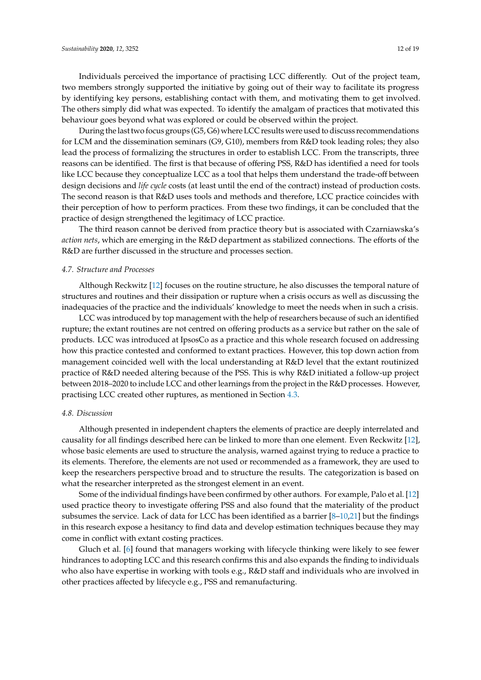Individuals perceived the importance of practising LCC differently. Out of the project team, two members strongly supported the initiative by going out of their way to facilitate its progress by identifying key persons, establishing contact with them, and motivating them to get involved. The others simply did what was expected. To identify the amalgam of practices that motivated this behaviour goes beyond what was explored or could be observed within the project.

During the last two focus groups (G5, G6) where LCC results were used to discuss recommendations for LCM and the dissemination seminars (G9, G10), members from R&D took leading roles; they also lead the process of formalizing the structures in order to establish LCC. From the transcripts, three reasons can be identified. The first is that because of offering PSS, R&D has identified a need for tools like LCC because they conceptualize LCC as a tool that helps them understand the trade-off between design decisions and *life cycle* costs (at least until the end of the contract) instead of production costs. The second reason is that R&D uses tools and methods and therefore, LCC practice coincides with their perception of how to perform practices. From these two findings, it can be concluded that the practice of design strengthened the legitimacy of LCC practice.

The third reason cannot be derived from practice theory but is associated with Czarniawska's *action nets*, which are emerging in the R&D department as stabilized connections. The efforts of the R&D are further discussed in the structure and processes section.

# <span id="page-11-0"></span>*4.7. Structure and Processes*

Although Reckwitz [\[12\]](#page-16-11) focuses on the routine structure, he also discusses the temporal nature of structures and routines and their dissipation or rupture when a crisis occurs as well as discussing the inadequacies of the practice and the individuals' knowledge to meet the needs when in such a crisis.

LCC was introduced by top management with the help of researchers because of such an identified rupture; the extant routines are not centred on offering products as a service but rather on the sale of products. LCC was introduced at IpsosCo as a practice and this whole research focused on addressing how this practice contested and conformed to extant practices. However, this top down action from management coincided well with the local understanding at R&D level that the extant routinized practice of R&D needed altering because of the PSS. This is why R&D initiated a follow-up project between 2018–2020 to include LCC and other learnings from the project in the R&D processes. However, practising LCC created other ruptures, as mentioned in Section [4.3.](#page-8-0)

#### *4.8. Discussion*

Although presented in independent chapters the elements of practice are deeply interrelated and causality for all findings described here can be linked to more than one element. Even Reckwitz [\[12\]](#page-16-11), whose basic elements are used to structure the analysis, warned against trying to reduce a practice to its elements. Therefore, the elements are not used or recommended as a framework, they are used to keep the researchers perspective broad and to structure the results. The categorization is based on what the researcher interpreted as the strongest element in an event.

Some of the individual findings have been confirmed by other authors. For example, Palo et al. [\[12\]](#page-16-11) used practice theory to investigate offering PSS and also found that the materiality of the product subsumes the service. Lack of data for LCC has been identified as a barrier [\[8–](#page-16-7)[10,](#page-16-9)[21\]](#page-17-8) but the findings in this research expose a hesitancy to find data and develop estimation techniques because they may come in conflict with extant costing practices.

Gluch et al. [\[6\]](#page-16-5) found that managers working with lifecycle thinking were likely to see fewer hindrances to adopting LCC and this research confirms this and also expands the finding to individuals who also have expertise in working with tools e.g., R&D staff and individuals who are involved in other practices affected by lifecycle e.g., PSS and remanufacturing.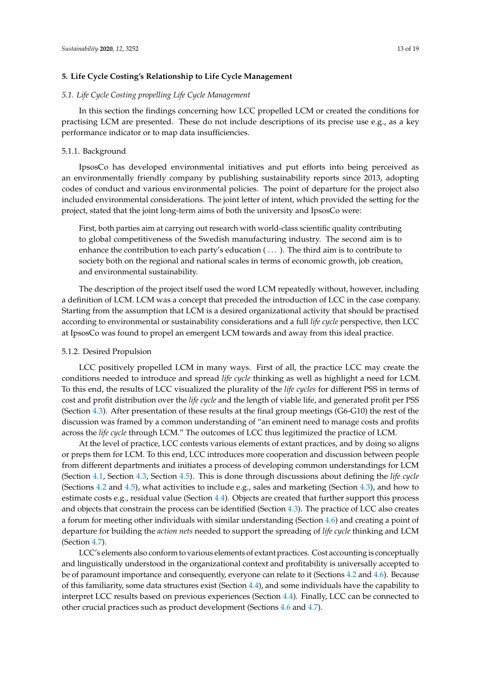## **5. Life Cycle Costing's Relationship to Life Cycle Management**

#### <span id="page-12-0"></span>*5.1. Life Cycle Costing propelling Life Cycle Management*

In this section the findings concerning how LCC propelled LCM or created the conditions for practising LCM are presented. These do not include descriptions of its precise use e.g., as a key performance indicator or to map data insufficiencies.

#### 5.1.1. Background

IpsosCo has developed environmental initiatives and put efforts into being perceived as an environmentally friendly company by publishing sustainability reports since 2013, adopting codes of conduct and various environmental policies. The point of departure for the project also included environmental considerations. The joint letter of intent, which provided the setting for the project, stated that the joint long-term aims of both the university and IpsosCo were:

First, both parties aim at carrying out research with world-class scientific quality contributing to global competitiveness of the Swedish manufacturing industry. The second aim is to enhance the contribution to each party's education ( . . . ). The third aim is to contribute to society both on the regional and national scales in terms of economic growth, job creation, and environmental sustainability.

The description of the project itself used the word LCM repeatedly without, however, including a definition of LCM. LCM was a concept that preceded the introduction of LCC in the case company. Starting from the assumption that LCM is a desired organizational activity that should be practised according to environmental or sustainability considerations and a full *life cycle* perspective, then LCC at IpsosCo was found to propel an emergent LCM towards and away from this ideal practice.

#### 5.1.2. Desired Propulsion

LCC positively propelled LCM in many ways. First of all, the practice LCC may create the conditions needed to introduce and spread *life cycle* thinking as well as highlight a need for LCM. To this end, the results of LCC visualized the plurality of the *life cycles* for different PSS in terms of cost and profit distribution over the *life cycle* and the length of viable life, and generated profit per PSS (Section [4.3\)](#page-8-0). After presentation of these results at the final group meetings (G6-G10) the rest of the discussion was framed by a common understanding of "an eminent need to manage costs and profits across the *life cycle* through LCM." The outcomes of LCC thus legitimized the practice of LCM.

At the level of practice, LCC contests various elements of extant practices, and by doing so aligns or preps them for LCM. To this end, LCC introduces more cooperation and discussion between people from different departments and initiates a process of developing common understandings for LCM (Section [4.1,](#page-7-0) Section [4.3,](#page-8-0) Section [4.5\)](#page-10-1). This is done through discussions about defining the *life cycle* (Sections [4.2](#page-7-1) and [4.5\)](#page-10-1), what activities to include e.g., sales and marketing (Section [4.3\)](#page-8-0), and how to estimate costs e.g., residual value (Section [4.4\)](#page-9-0). Objects are created that further support this process and objects that constrain the process can be identified (Section [4.3\)](#page-8-0). The practice of LCC also creates a forum for meeting other individuals with similar understanding (Section [4.6\)](#page-10-2) and creating a point of departure for building the *action nets* needed to support the spreading of *life cycle* thinking and LCM (Section [4.7\)](#page-11-0).

LCC's elements also conform to various elements of extant practices. Cost accounting is conceptually and linguistically understood in the organizational context and profitability is universally accepted to be of paramount importance and consequently, everyone can relate to it (Sections [4.2](#page-7-1) and [4.6\)](#page-10-2). Because of this familiarity, some data structures exist (Section [4.4\)](#page-9-0), and some individuals have the capability to interpret LCC results based on previous experiences (Section [4.4\)](#page-9-0). Finally, LCC can be connected to other crucial practices such as product development (Sections [4.6](#page-10-2) and [4.7\)](#page-11-0).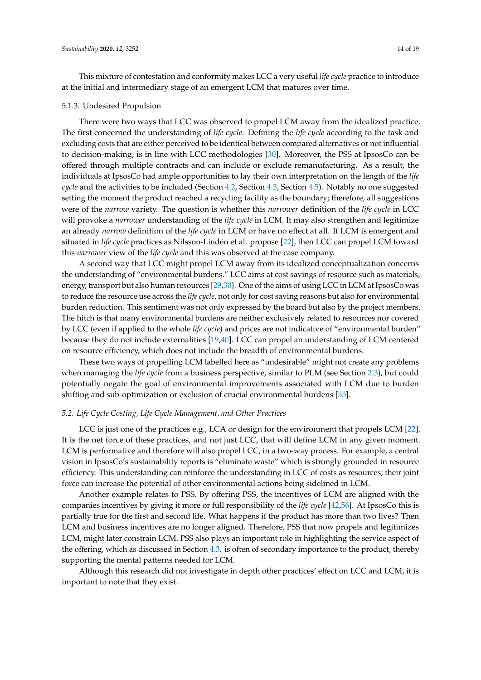This mixture of contestation and conformity makes LCC a very useful *life cycle* practice to introduce at the initial and intermediary stage of an emergent LCM that matures over time.

#### 5.1.3. Undesired Propulsion

There were two ways that LCC was observed to propel LCM away from the idealized practice. The first concerned the understanding of *life cycle*. Defining the *life cycle* according to the task and excluding costs that are either perceived to be identical between compared alternatives or not influential to decision-making, is in line with LCC methodologies [\[30\]](#page-17-16). Moreover, the PSS at IpsosCo can be offered through multiple contracts and can include or exclude remanufacturing. As a result, the individuals at IpsosCo had ample opportunities to lay their own interpretation on the length of the *life cycle* and the activities to be included (Section [4.2,](#page-7-1) Section [4.3,](#page-8-0) Section [4.5\)](#page-10-1). Notably no one suggested setting the moment the product reached a recycling facility as the boundary; therefore, all suggestions were of the *narrow* variety. The question is whether this *narrower* definition of the *life cycle* in LCC will provoke a *narrower* understanding of the *life cycle* in LCM. It may also strengthen and legitimize an already *narrow* definition of the *life cycle* in LCM or have no effect at all. If LCM is emergent and situated in *life cycle* practices as Nilsson-Lindén et al. propose [\[22\]](#page-17-9), then LCC can propel LCM toward this *narrower* view of the *life cycle* and this was observed at the case company.

A second way that LCC might propel LCM away from its idealized conceptualization concerns the understanding of "environmental burdens." LCC aims at cost savings of resource such as materials, energy, transport but also human resources [\[29,](#page-17-15)[30\]](#page-17-16). One of the aims of using LCC in LCM at IpsosCo was to reduce the resource use across the *life cycle*, not only for cost saving reasons but also for environmental burden reduction. This sentiment was not only expressed by the board but also by the project members. The hitch is that many environmental burdens are neither exclusively related to resources nor covered by LCC (even if applied to the whole *life cycle*) and prices are not indicative of "environmental burden" because they do not include externalities [\[19](#page-17-6)[,40\]](#page-18-1). LCC can propel an understanding of LCM centered on resource efficiency, which does not include the breadth of environmental burdens.

These two ways of propelling LCM labelled here as "undesirable" might not create any problems when managing the *life cycle* from a business perspective, similar to PLM (see Section [2.3\)](#page-3-0), but could potentially negate the goal of environmental improvements associated with LCM due to burden shifting and sub-optimization or exclusion of crucial environmental burdens [\[55\]](#page-18-15).

#### *5.2. Life Cycle Costing, Life Cycle Management, and Other Practices*

LCC is just one of the practices e.g., LCA or design for the environment that propels LCM [\[22\]](#page-17-9). It is the net force of these practices, and not just LCC, that will define LCM in any given moment. LCM is performative and therefore will also propel LCC, in a two-way process. For example, a central vision in IpsosCo's sustainability reports is "eliminate waste" which is strongly grounded in resource efficiency. This understanding can reinforce the understanding in LCC of costs as resources; their joint force can increase the potential of other environmental actions being sidelined in LCM.

Another example relates to PSS. By offering PSS, the incentives of LCM are aligned with the companies incentives by giving it more or full responsibility of the *life cycle* [\[42](#page-18-3)[,56\]](#page-18-16). At IpsosCo this is partially true for the first and second life. What happens if the product has more than two lives? Then LCM and business incentives are no longer aligned. Therefore, PSS that now propels and legitimizes LCM, might later constrain LCM. PSS also plays an important role in highlighting the service aspect of the offering, which as discussed in Section [4.3.](#page-8-0) is often of secondary importance to the product, thereby supporting the mental patterns needed for LCM.

Although this research did not investigate in depth other practices' effect on LCC and LCM, it is important to note that they exist.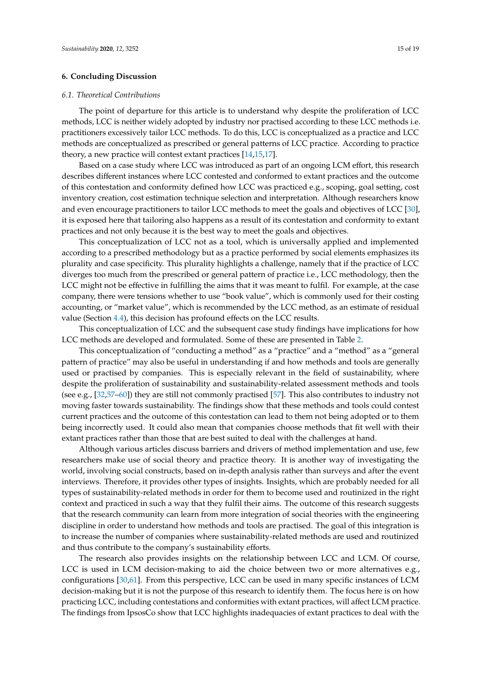# **6. Concluding Discussion**

#### <span id="page-14-0"></span>*6.1. Theoretical Contributions*

The point of departure for this article is to understand why despite the proliferation of LCC methods, LCC is neither widely adopted by industry nor practised according to these LCC methods i.e. practitioners excessively tailor LCC methods. To do this, LCC is conceptualized as a practice and LCC methods are conceptualized as prescribed or general patterns of LCC practice. According to practice theory, a new practice will contest extant practices [\[14,](#page-17-1)[15,](#page-17-2)[17\]](#page-17-4).

Based on a case study where LCC was introduced as part of an ongoing LCM effort, this research describes different instances where LCC contested and conformed to extant practices and the outcome of this contestation and conformity defined how LCC was practiced e.g., scoping, goal setting, cost inventory creation, cost estimation technique selection and interpretation. Although researchers know and even encourage practitioners to tailor LCC methods to meet the goals and objectives of LCC [\[30\]](#page-17-16), it is exposed here that tailoring also happens as a result of its contestation and conformity to extant practices and not only because it is the best way to meet the goals and objectives.

This conceptualization of LCC not as a tool, which is universally applied and implemented according to a prescribed methodology but as a practice performed by social elements emphasizes its plurality and case specificity. This plurality highlights a challenge, namely that if the practice of LCC diverges too much from the prescribed or general pattern of practice i.e., LCC methodology, then the LCC might not be effective in fulfilling the aims that it was meant to fulfil. For example, at the case company, there were tensions whether to use "book value", which is commonly used for their costing accounting, or "market value", which is recommended by the LCC method, as an estimate of residual value (Section [4.4\)](#page-9-0), this decision has profound effects on the LCC results.

This conceptualization of LCC and the subsequent case study findings have implications for how LCC methods are developed and formulated. Some of these are presented in Table [2.](#page-15-0)

This conceptualization of "conducting a method" as a "practice" and a "method" as a "general pattern of practice" may also be useful in understanding if and how methods and tools are generally used or practised by companies. This is especially relevant in the field of sustainability, where despite the proliferation of sustainability and sustainability-related assessment methods and tools (see e.g., [\[32](#page-17-18)[,57](#page-18-17)[–60\]](#page-18-18)) they are still not commonly practised [\[57\]](#page-18-17). This also contributes to industry not moving faster towards sustainability. The findings show that these methods and tools could contest current practices and the outcome of this contestation can lead to them not being adopted or to them being incorrectly used. It could also mean that companies choose methods that fit well with their extant practices rather than those that are best suited to deal with the challenges at hand.

Although various articles discuss barriers and drivers of method implementation and use, few researchers make use of social theory and practice theory. It is another way of investigating the world, involving social constructs, based on in-depth analysis rather than surveys and after the event interviews. Therefore, it provides other types of insights. Insights, which are probably needed for all types of sustainability-related methods in order for them to become used and routinized in the right context and practiced in such a way that they fulfil their aims. The outcome of this research suggests that the research community can learn from more integration of social theories with the engineering discipline in order to understand how methods and tools are practised. The goal of this integration is to increase the number of companies where sustainability-related methods are used and routinized and thus contribute to the company's sustainability efforts.

The research also provides insights on the relationship between LCC and LCM. Of course, LCC is used in LCM decision-making to aid the choice between two or more alternatives e.g., configurations [\[30](#page-17-16)[,61\]](#page-18-19). From this perspective, LCC can be used in many specific instances of LCM decision-making but it is not the purpose of this research to identify them. The focus here is on how practicing LCC, including contestations and conformities with extant practices, will affect LCM practice. The findings from IpsosCo show that LCC highlights inadequacies of extant practices to deal with the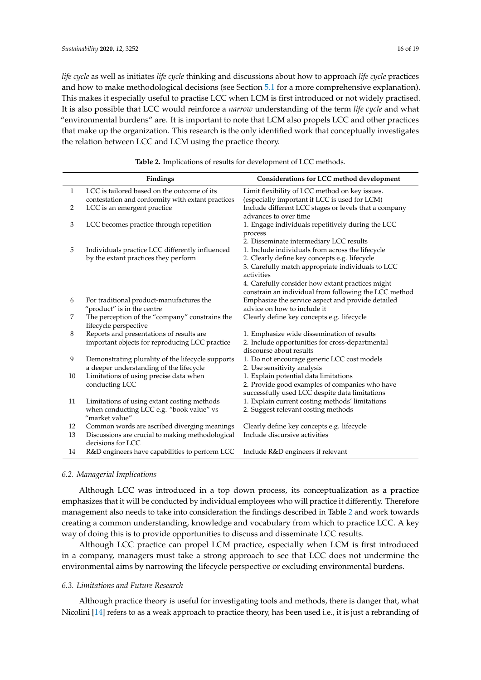*life cycle* as well as initiates *life cycle* thinking and discussions about how to approach *life cycle* practices and how to make methodological decisions (see Section [5.1](#page-12-0) for a more comprehensive explanation). This makes it especially useful to practise LCC when LCM is first introduced or not widely practised. It is also possible that LCC would reinforce a *narrow* understanding of the term *life cycle* and what "environmental burdens" are. It is important to note that LCM also propels LCC and other practices that make up the organization. This research is the only identified work that conceptually investigates the relation between LCC and LCM using the practice theory.

<span id="page-15-0"></span>

|              | Findings                                                                                         | Considerations for LCC method development                                                        |
|--------------|--------------------------------------------------------------------------------------------------|--------------------------------------------------------------------------------------------------|
| $\mathbf{1}$ | LCC is tailored based on the outcome of its<br>contestation and conformity with extant practices | Limit flexibility of LCC method on key issues.<br>(especially important if LCC is used for LCM)  |
| 2            | LCC is an emergent practice                                                                      | Include different LCC stages or levels that a company<br>advances to over time                   |
| 3            | LCC becomes practice through repetition                                                          | 1. Engage individuals repetitively during the LCC                                                |
|              |                                                                                                  | process<br>2. Disseminate intermediary LCC results                                               |
| 5            | Individuals practice LCC differently influenced                                                  | 1. Include individuals from across the lifecycle                                                 |
|              | by the extant practices they perform                                                             | 2. Clearly define key concepts e.g. lifecycle                                                    |
|              |                                                                                                  | 3. Carefully match appropriate individuals to LCC<br>activities                                  |
|              |                                                                                                  | 4. Carefully consider how extant practices might                                                 |
|              |                                                                                                  | constrain an individual from following the LCC method                                            |
| 6            | For traditional product-manufactures the                                                         | Emphasize the service aspect and provide detailed                                                |
|              | "product" is in the centre                                                                       | advice on how to include it                                                                      |
| 7            | The perception of the "company" constrains the<br>lifecycle perspective                          | Clearly define key concepts e.g. lifecycle                                                       |
| 8            | Reports and presentations of results are                                                         | 1. Emphasize wide dissemination of results                                                       |
|              | important objects for reproducing LCC practice                                                   | 2. Include opportunities for cross-departmental<br>discourse about results                       |
| 9            | Demonstrating plurality of the lifecycle supports                                                | 1. Do not encourage generic LCC cost models                                                      |
|              | a deeper understanding of the lifecycle                                                          | 2. Use sensitivity analysis                                                                      |
| 10           | Limitations of using precise data when                                                           | 1. Explain potential data limitations                                                            |
|              | conducting LCC                                                                                   | 2. Provide good examples of companies who have<br>successfully used LCC despite data limitations |
| 11           | Limitations of using extant costing methods                                                      | 1. Explain current costing methods' limitations                                                  |
|              | when conducting LCC e.g. "book value" vs                                                         | 2. Suggest relevant costing methods                                                              |
|              | "market value"                                                                                   |                                                                                                  |
| 12           | Common words are ascribed diverging meanings                                                     | Clearly define key concepts e.g. lifecycle                                                       |
| 13           | Discussions are crucial to making methodological                                                 | Include discursive activities                                                                    |
|              | decisions for LCC                                                                                |                                                                                                  |
| 14           | R&D engineers have capabilities to perform LCC                                                   | Include R&D engineers if relevant                                                                |

**Table 2.** Implications of results for development of LCC methods.

# *6.2. Managerial Implications*

Although LCC was introduced in a top down process, its conceptualization as a practice emphasizes that it will be conducted by individual employees who will practice it differently. Therefore management also needs to take into consideration the findings described in Table [2](#page-15-0) and work towards creating a common understanding, knowledge and vocabulary from which to practice LCC. A key way of doing this is to provide opportunities to discuss and disseminate LCC results.

Although LCC practice can propel LCM practice, especially when LCM is first introduced in a company, managers must take a strong approach to see that LCC does not undermine the environmental aims by narrowing the lifecycle perspective or excluding environmental burdens.

#### *6.3. Limitations and Future Research*

Although practice theory is useful for investigating tools and methods, there is danger that, what Nicolini [\[14\]](#page-17-1) refers to as a weak approach to practice theory, has been used i.e., it is just a rebranding of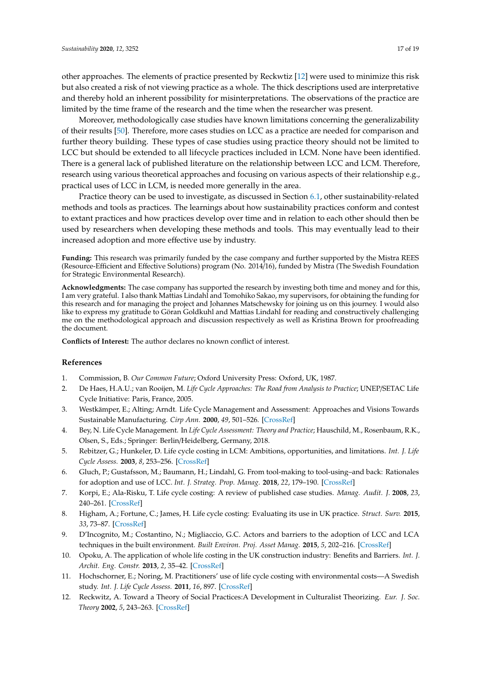other approaches. The elements of practice presented by Reckwtiz [\[12\]](#page-16-11) were used to minimize this risk but also created a risk of not viewing practice as a whole. The thick descriptions used are interpretative and thereby hold an inherent possibility for misinterpretations. The observations of the practice are limited by the time frame of the research and the time when the researcher was present.

Moreover, methodologically case studies have known limitations concerning the generalizability of their results [\[50\]](#page-18-10). Therefore, more cases studies on LCC as a practice are needed for comparison and further theory building. These types of case studies using practice theory should not be limited to LCC but should be extended to all lifecycle practices included in LCM. None have been identified. There is a general lack of published literature on the relationship between LCC and LCM. Therefore, research using various theoretical approaches and focusing on various aspects of their relationship e.g., practical uses of LCC in LCM, is needed more generally in the area.

Practice theory can be used to investigate, as discussed in Section [6.1,](#page-14-0) other sustainability-related methods and tools as practices. The learnings about how sustainability practices conform and contest to extant practices and how practices develop over time and in relation to each other should then be used by researchers when developing these methods and tools. This may eventually lead to their increased adoption and more effective use by industry.

**Funding:** This research was primarily funded by the case company and further supported by the Mistra REES (Resource-Efficient and Effective Solutions) program (No. 2014/16), funded by Mistra (The Swedish Foundation for Strategic Environmental Research).

**Acknowledgments:** The case company has supported the research by investing both time and money and for this, I am very grateful. I also thank Mattias Lindahl and Tomohiko Sakao, my supervisors, for obtaining the funding for this research and for managing the project and Johannes Matschewsky for joining us on this journey. I would also like to express my gratitude to Göran Goldkuhl and Mattias Lindahl for reading and constructively challenging me on the methodological approach and discussion respectively as well as Kristina Brown for proofreading the document.

**Conflicts of Interest:** The author declares no known conflict of interest.

# **References**

- <span id="page-16-0"></span>1. Commission, B. *Our Common Future*; Oxford University Press: Oxford, UK, 1987.
- <span id="page-16-1"></span>2. De Haes, H.A.U.; van Rooijen, M. *Life Cycle Approaches: The Road from Analysis to Practice*; UNEP/SETAC Life Cycle Initiative: Paris, France, 2005.
- <span id="page-16-3"></span>3. Westkämper, E.; Alting; Arndt. Life Cycle Management and Assessment: Approaches and Visions Towards Sustainable Manufacturing. *Cirp Ann.* **2000**, *49*, 501–526. [\[CrossRef\]](http://dx.doi.org/10.1016/S0007-8506(07)63453-2)
- <span id="page-16-2"></span>4. Bey, N. Life Cycle Management. In *Life Cycle Assessment: Theory and Practice*; Hauschild, M., Rosenbaum, R.K., Olsen, S., Eds.; Springer: Berlin/Heidelberg, Germany, 2018.
- <span id="page-16-4"></span>5. Rebitzer, G.; Hunkeler, D. Life cycle costing in LCM: Ambitions, opportunities, and limitations. *Int. J. Life Cycle Assess.* **2003**, *8*, 253–256. [\[CrossRef\]](http://dx.doi.org/10.1007/BF02978913)
- <span id="page-16-5"></span>6. Gluch, P.; Gustafsson, M.; Baumann, H.; Lindahl, G. From tool-making to tool-using–and back: Rationales for adoption and use of LCC. *Int. J. Strateg. Prop. Manag.* **2018**, *22*, 179–190. [\[CrossRef\]](http://dx.doi.org/10.3846/ijspm.2018.1544)
- <span id="page-16-6"></span>7. Korpi, E.; Ala-Risku, T. Life cycle costing: A review of published case studies. *Manag. Audit. J.* **2008**, *23*, 240–261. [\[CrossRef\]](http://dx.doi.org/10.1108/02686900810857703)
- <span id="page-16-7"></span>8. Higham, A.; Fortune, C.; James, H. Life cycle costing: Evaluating its use in UK practice. *Struct. Surv.* **2015**, *33*, 73–87. [\[CrossRef\]](http://dx.doi.org/10.1108/SS-06-2014-0026)
- <span id="page-16-8"></span>9. D'Incognito, M.; Costantino, N.; Migliaccio, G.C. Actors and barriers to the adoption of LCC and LCA techniques in the built environment. *Built Environ. Proj. Asset Manag.* **2015**, *5*, 202–216. [\[CrossRef\]](http://dx.doi.org/10.1108/BEPAM-12-2013-0068)
- <span id="page-16-9"></span>10. Opoku, A. The application of whole life costing in the UK construction industry: Benefits and Barriers. *Int. J. Archit. Eng. Constr.* **2013**, *2*, 35–42. [\[CrossRef\]](http://dx.doi.org/10.7492/IJAEC.2013.004)
- <span id="page-16-10"></span>11. Hochschorner, E.; Noring, M. Practitioners' use of life cycle costing with environmental costs—A Swedish study. *Int. J. Life Cycle Assess.* **2011**, *16*, 897. [\[CrossRef\]](http://dx.doi.org/10.1007/s11367-011-0325-3)
- <span id="page-16-11"></span>12. Reckwitz, A. Toward a Theory of Social Practices:A Development in Culturalist Theorizing. *Eur. J. Soc. Theory* **2002**, *5*, 243–263. [\[CrossRef\]](http://dx.doi.org/10.1177/13684310222225432)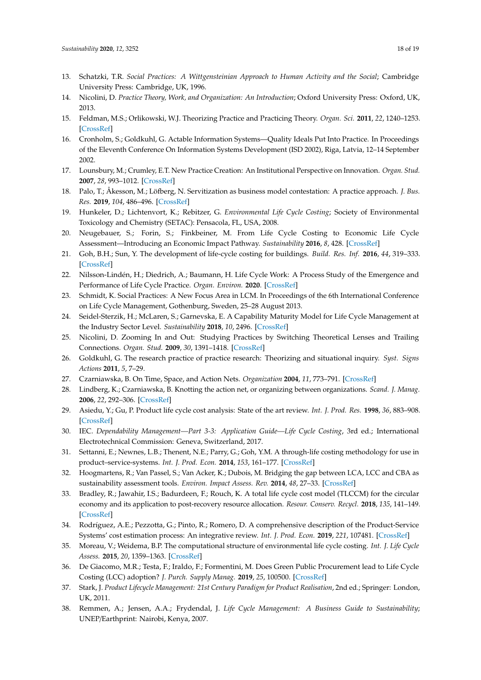- <span id="page-17-0"></span>13. Schatzki, T.R. *Social Practices: A Wittgensteinian Approach to Human Activity and the Social*; Cambridge University Press: Cambridge, UK, 1996.
- <span id="page-17-1"></span>14. Nicolini, D. *Practice Theory, Work, and Organization: An Introduction*; Oxford University Press: Oxford, UK, 2013.
- <span id="page-17-2"></span>15. Feldman, M.S.; Orlikowski, W.J. Theorizing Practice and Practicing Theory. *Organ. Sci.* **2011**, *22*, 1240–1253. [\[CrossRef\]](http://dx.doi.org/10.1287/orsc.1100.0612)
- <span id="page-17-3"></span>16. Cronholm, S.; Goldkuhl, G. Actable Information Systems—Quality Ideals Put Into Practice. In Proceedings of the Eleventh Conference On Information Systems Development (ISD 2002), Riga, Latvia, 12–14 September 2002.
- <span id="page-17-4"></span>17. Lounsbury, M.; Crumley, E.T. New Practice Creation: An Institutional Perspective on Innovation. *Organ. Stud.* **2007**, *28*, 993–1012. [\[CrossRef\]](http://dx.doi.org/10.1177/0170840607078111)
- <span id="page-17-5"></span>18. Palo, T.; Åkesson, M.; Löfberg, N. Servitization as business model contestation: A practice approach. *J. Bus. Res.* **2019**, *104*, 486–496. [\[CrossRef\]](http://dx.doi.org/10.1016/j.jbusres.2018.10.037)
- <span id="page-17-6"></span>19. Hunkeler, D.; Lichtenvort, K.; Rebitzer, G. *Environmental Life Cycle Costing*; Society of Environmental Toxicology and Chemistry (SETAC): Pensacola, FL, USA, 2008.
- <span id="page-17-7"></span>20. Neugebauer, S.; Forin, S.; Finkbeiner, M. From Life Cycle Costing to Economic Life Cycle Assessment—Introducing an Economic Impact Pathway. *Sustainability* **2016**, *8*, 428. [\[CrossRef\]](http://dx.doi.org/10.3390/su8050428)
- <span id="page-17-8"></span>21. Goh, B.H.; Sun, Y. The development of life-cycle costing for buildings. *Build. Res. Inf.* **2016**, *44*, 319–333. [\[CrossRef\]](http://dx.doi.org/10.1080/09613218.2014.993566)
- <span id="page-17-9"></span>22. Nilsson-Lindén, H.; Diedrich, A.; Baumann, H. Life Cycle Work: A Process Study of the Emergence and Performance of Life Cycle Practice. *Organ. Environ.* **2020**. [\[CrossRef\]](http://dx.doi.org/10.1177/1086026619893971)
- 23. Schmidt, K. Social Practices: A New Focus Area in LCM. In Proceedings of the 6th International Conference on Life Cycle Management, Gothenburg, Sweden, 25–28 August 2013.
- <span id="page-17-10"></span>24. Seidel-Sterzik, H.; McLaren, S.; Garnevska, E. A Capability Maturity Model for Life Cycle Management at the Industry Sector Level. *Sustainability* **2018**, *10*, 2496. [\[CrossRef\]](http://dx.doi.org/10.3390/su10072496)
- <span id="page-17-11"></span>25. Nicolini, D. Zooming In and Out: Studying Practices by Switching Theoretical Lenses and Trailing Connections. *Organ. Stud.* **2009**, *30*, 1391–1418. [\[CrossRef\]](http://dx.doi.org/10.1177/0170840609349875)
- <span id="page-17-12"></span>26. Goldkuhl, G. The research practice of practice research: Theorizing and situational inquiry. *Syst. Signs Actions* **2011**, *5*, 7–29.
- <span id="page-17-13"></span>27. Czarniawska, B. On Time, Space, and Action Nets. *Organization* **2004**, *11*, 773–791. [\[CrossRef\]](http://dx.doi.org/10.1177/1350508404047251)
- <span id="page-17-14"></span>28. Lindberg, K.; Czarniawska, B. Knotting the action net, or organizing between organizations. *Scand. J. Manag.* **2006**, *22*, 292–306. [\[CrossRef\]](http://dx.doi.org/10.1016/j.scaman.2006.09.001)
- <span id="page-17-15"></span>29. Asiedu, Y.; Gu, P. Product life cycle cost analysis: State of the art review. *Int. J. Prod. Res.* **1998**, *36*, 883–908. [\[CrossRef\]](http://dx.doi.org/10.1080/002075498193444)
- <span id="page-17-16"></span>30. IEC. *Dependability Management—Part 3-3: Application Guide—Life Cycle Costing*, 3rd ed.; International Electrotechnical Commission: Geneva, Switzerland, 2017.
- <span id="page-17-17"></span>31. Settanni, E.; Newnes, L.B.; Thenent, N.E.; Parry, G.; Goh, Y.M. A through-life costing methodology for use in product–service-systems. *Int. J. Prod. Econ.* **2014**, *153*, 161–177. [\[CrossRef\]](http://dx.doi.org/10.1016/j.ijpe.2014.02.016)
- <span id="page-17-18"></span>32. Hoogmartens, R.; Van Passel, S.; Van Acker, K.; Dubois, M. Bridging the gap between LCA, LCC and CBA as sustainability assessment tools. *Environ. Impact Assess. Rev.* **2014**, *48*, 27–33. [\[CrossRef\]](http://dx.doi.org/10.1016/j.eiar.2014.05.001)
- <span id="page-17-19"></span>33. Bradley, R.; Jawahir, I.S.; Badurdeen, F.; Rouch, K. A total life cycle cost model (TLCCM) for the circular economy and its application to post-recovery resource allocation. *Resour. Conserv. Recycl.* **2018**, *135*, 141–149. [\[CrossRef\]](http://dx.doi.org/10.1016/j.resconrec.2018.01.017)
- <span id="page-17-20"></span>34. Rodríguez, A.E.; Pezzotta, G.; Pinto, R.; Romero, D. A comprehensive description of the Product-Service Systems' cost estimation process: An integrative review. *Int. J. Prod. Econ.* **2019**, *221*, 107481. [\[CrossRef\]](http://dx.doi.org/10.1016/j.ijpe.2019.09.002)
- <span id="page-17-21"></span>35. Moreau, V.; Weidema, B.P. The computational structure of environmental life cycle costing. *Int. J. Life Cycle Assess.* **2015**, *20*, 1359–1363. [\[CrossRef\]](http://dx.doi.org/10.1007/s11367-015-0952-1)
- <span id="page-17-22"></span>36. De Giacomo, M.R.; Testa, F.; Iraldo, F.; Formentini, M. Does Green Public Procurement lead to Life Cycle Costing (LCC) adoption? *J. Purch. Supply Manag.* **2019**, *25*, 100500. [\[CrossRef\]](http://dx.doi.org/10.1016/j.pursup.2018.05.001)
- <span id="page-17-23"></span>37. Stark, J. *Product Lifecycle Management: 21st Century Paradigm for Product Realisation*, 2nd ed.; Springer: London, UK, 2011.
- <span id="page-17-24"></span>38. Remmen, A.; Jensen, A.A.; Frydendal, J. *Life Cycle Management: A Business Guide to Sustainability*; UNEP/Earthprint: Nairobi, Kenya, 2007.